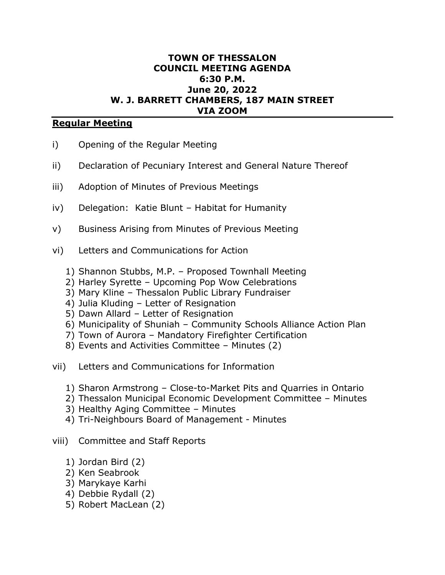## **TOWN OF THESSALON COUNCIL MEETING AGENDA 6:30 P.M. June 20, 2022 W. J. BARRETT CHAMBERS, 187 MAIN STREET VIA ZOOM**

## **Regular Meeting**

- i) Opening of the Regular Meeting
- ii) Declaration of Pecuniary Interest and General Nature Thereof
- iii) Adoption of Minutes of Previous Meetings
- iv) Delegation: Katie Blunt Habitat for Humanity
- v) Business Arising from Minutes of Previous Meeting
- vi) Letters and Communications for Action
	- 1) Shannon Stubbs, M.P. Proposed Townhall Meeting
	- 2) Harley Syrette Upcoming Pop Wow Celebrations
	- 3) Mary Kline Thessalon Public Library Fundraiser
	- 4) Julia Kluding Letter of Resignation
	- 5) Dawn Allard Letter of Resignation
	- 6) Municipality of Shuniah Community Schools Alliance Action Plan
	- 7) Town of Aurora Mandatory Firefighter Certification
	- 8) Events and Activities Committee Minutes (2)
- vii) Letters and Communications for Information
	- 1) Sharon Armstrong Close-to-Market Pits and Quarries in Ontario
	- 2) Thessalon Municipal Economic Development Committee Minutes
	- 3) Healthy Aging Committee Minutes
	- 4) Tri-Neighbours Board of Management Minutes

## viii) Committee and Staff Reports

- 1) Jordan Bird (2)
- 2) Ken Seabrook
- 3) Marykaye Karhi
- 4) Debbie Rydall (2)
- 5) Robert MacLean (2)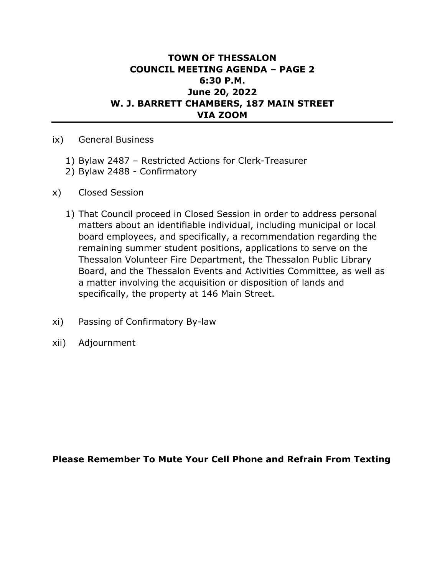## **TOWN OF THESSALON COUNCIL MEETING AGENDA – PAGE 2 6:30 P.M. June 20, 2022 W. J. BARRETT CHAMBERS, 187 MAIN STREET VIA ZOOM**

- ix) General Business
	- 1) Bylaw 2487 Restricted Actions for Clerk-Treasurer
	- 2) Bylaw 2488 Confirmatory
- x) Closed Session
	- 1) That Council proceed in Closed Session in order to address personal matters about an identifiable individual, including municipal or local board employees, and specifically, a recommendation regarding the remaining summer student positions, applications to serve on the Thessalon Volunteer Fire Department, the Thessalon Public Library Board, and the Thessalon Events and Activities Committee, as well as a matter involving the acquisition or disposition of lands and specifically, the property at 146 Main Street.
- xi) Passing of Confirmatory By-law
- xii) Adjournment

**Please Remember To Mute Your Cell Phone and Refrain From Texting**